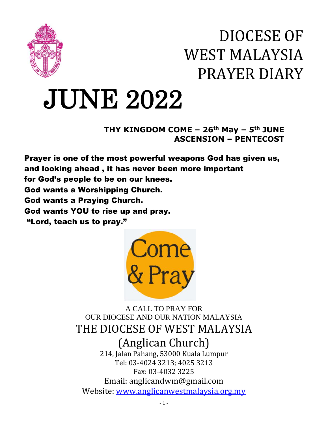

## DIOCESE OF WEST MALAYSIA PRAYER DIARY

# JUNE 2022

**THY KINGDOM COME – 26th May – 5 th JUNE ASCENSION – PENTECOST**

Prayer is one of the most powerful weapons God has given us, and looking ahead , it has never been more important for God's people to be on our knees. God wants a Worshipping Church. God wants a Praying Church. God wants YOU to rise up and pray. "Lord, teach us to pray."



A CALL TO PRAY FOR OUR DIOCESE AND OUR NATION MALAYSIA THE DIOCESE OF WEST MALAYSIA (Anglican Church)

214, Jalan Pahang, 53000 Kuala Lumpur Tel: 03-4024 3213; 4025 3213 Fax: 03-4032 3225 Email: anglicandwm@gmail.com Website: [www.anglicanwestmalaysia.org.my](http://www.anglicanwestmalaysia.org.my/)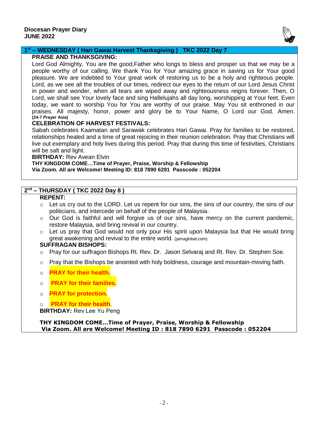

#### **1 st – WEDNESDAY ( Hari Gawai Harvest Thanksgiving ) TKC 2022 Day 7**

#### **PRAISE AND THANKSGIVING:**

Lord God Almighty, You are the good,Father who longs to bless and prosper us that we may be a people worthy of our calling. We thank You for Your amazing grace in saving us for Your good pleasure. We are indebted to Your great work of restoring us to be a holy and righteous people. Lord, as we see all the troubles of our times, redirect our eyes to the return of our Lord Jesus Christ in power and wonder, when all tears are wiped away and righteousness reigns forever. Then, O Lord, we shall see Your lovely face and sing Hallelujahs all day long, worshipping at Your feet. Even today, we want to worship You for You are worthy of our praise. May You sit enthroned in our praises. All majesty, honor, power and glory be to Your Name, O Lord our God. Amen. **(24-7 Prayer Asia)**

#### **CELEBRATION OF HARVEST FESTIVALS:**

Sabah celebrates Kaamatan and Sarawak celebrates Hari Gawai. Pray for families to be restored, relationships healed and a time of great rejoicing in their reunion celebration. Pray that Christians will live out exemplary and holy lives during this period. Pray that during this time of festivities, Christians will be salt and light.

#### **BIRTHDAY:** Rev Avean Elvin

**THY KINGDOM COME…Time of Prayer, Praise, Worship & Fellowship Via Zoom. All are Welcome! Meeting ID: 818 7890 6291 Passcode : 052204**

#### **2 nd – THURSDAY ( TKC 2022 Day 8 )**

#### **REPENT:**

- $\circ$  Let us cry out to the LORD. Let us repent for our sins, the sins of our country, the sins of our politicians, and intercede on behalf of the people of Malaysia.
- $\circ$  Our God is faithful and will forgive us of our sins, have mercy on the current pandemic, restore Malaysia, and bring revival in our country.
- $\circ$  Let us pray that God would not only pour His spirit upon Malaysia but that He would bring great awakening and revival to the entire world. (jamaglobal.com)

#### **SUFFRAGAN BISHOPS:**

- o Pray for our suffragon Bishops Rt. Rev. Dr. Jason Selvaraj and Rt. Rev. Dr. Stephen Soe.
- o Pray that the Bishops be anointed with holy boldness, courage and mountain-moving faith.
- o **PRAY for their health.**
- o **PRAY for their families.**
- o **PRAY for protection.**

o **PRAY for their health**. **BIRTHDAY:** Rev Lee Yu Peng

**THY KINGDOM COME…Time of Prayer, Praise, Worship & Fellowship Via Zoom. All are Welcome! Meeting ID : 818 7890 6291 Passcode : 052204**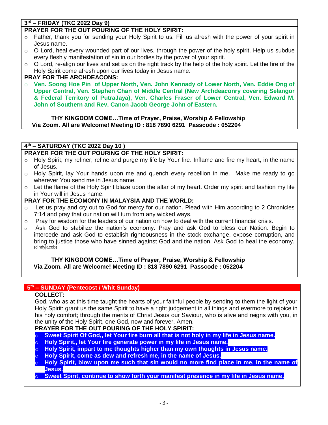### **3 rd – FRIDAY (TKC 2022 Day 9)**

#### **PRAYER FOR THE OUT POURING OF THE HOLY SPIRIT:**

- $\circ$  Father, thank you for sending your Holy Spirit to us. Fill us afresh with the power of your spirit in Jesus name.
- o O Lord, heal every wounded part of our lives, through the power of the holy spirit. Help us subdue every fleshly manifestation of sin in our bodies by the power of your spirit.
- $\circ$  O Lord, re-align our lives and set us on the right track by the help of the holy spirit. Let the fire of the Holy Spirit come afresh upon our lives today in Jesus name.

#### **PRAY FOR THE ARCHDEACONS:**

o **Ven. Soong Hoe Pin of Upper North, Ven. John Kennady of Lower North, Ven. Eddie Ong of Upper Central, Ven. Stephen Chan of Middle Central (New Archdeaconry covering Selangor & Federal Territory of PutraJaya), Ven. Charles Fraser of Lower Central, Ven. Edward M. John of Southern and Rev. Canon Jacob George John of Eastern.**

 **THY KINGDOM COME…Time of Prayer, Praise, Worship & Fellowship Via Zoom. All are Welcome! Meeting ID : 818 7890 6291 Passcode : 052204**

#### **4 th – SATURDAY (TKC 2022 Day 10 )**

#### **PRAYER FOR THE OUT POURING OF THE HOLY SPIRIT:**

- o Holy Spirit, my refiner, refine and purge my life by Your fire. Inflame and fire my heart, in the name of Jesus.
- $\circ$  Holy Spirit, lay Your hands upon me and quench every rebellion in me. Make me ready to go wherever You send me in Jesus name.
- $\circ$  Let the flame of the Holy Spirit blaze upon the altar of my heart. Order my spirit and fashion my life in Your will in Jesus name.

#### **PRAY FOR THE ECOMONY IN MALAYSIA AND THE WORLD:**

- Let us pray and cry out to God for mercy for our nation. Plead with Him according to 2 Chronicles 7:14 and pray that our nation will turn from any wicked ways.
- $\circ$  Pray for wisdom for the leaders of our nation on how to deal with the current financial crisis.
- o Ask God to stabilize the nation's economy. Pray and ask God to bless our Nation. Begin to intercede and ask God to establish righteousness in the stock exchange, expose corruption, and bring to justice those who have sinned against God and the nation. Ask God to heal the economy. (cindyjacob)

#### **THY KINGDOM COME…Time of Prayer, Praise, Worship & Fellowship Via Zoom. All are Welcome! Meeting ID : 818 7890 6291 Passcode : 052204**

#### **5 th – SUNDAY (Pentecost / Whit Sunday)**

#### **COLLECT:**

God, who as at this time taught the hearts of your faithful people by sending to them the light of your Holy Spirit: grant us the same Spirit to have a right judgement in all things and evermore to rejoice in his holy comfort; through the merits of Christ Jesus our Saviour, who is alive and reigns with you, in the unity of the Holy Spirit, one God, now and forever. Amen.

#### **PRAYER FOR THE OUT POURING OF THE HOLY SPIRIT:**

- Sweet Spirit Of God., let Your fire burn all that is not holy in my life in Jesus name.
- o **Holy Spirit,, let Your fire generate power in my life in Jesus name.**
- o **Holy Spirit, impart to me thoughts higher than my own thoughts in Jesus name.**
- o **Holy Spirit, come as dew and refresh me, in the name of Jesus.**
- Holy Spirit, blow upon me such that sin would no more find place in me, in the name of **Jesus.**

#### **Sweet Spirit, continue to show forth your manifest presence in my life in Jesus name.**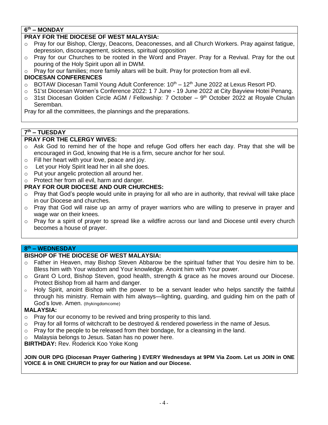#### **6 th – MONDAY**

#### **PRAY FOR THE DIOCESE OF WEST MALAYSIA:**

- o Pray for our Bishop, Clergy, Deacons, Deaconesses, and all Church Workers. Pray against fatigue, depression, discouragement, sickness, spiritual opposition
- $\circ$  Pray for our Churches to be rooted in the Word and Prayer. Pray for a Revival. Pray for the out pouring of the Holy Spirit upon all in DWM.
- o Pray for our families; more family altars will be built. Pray for protection from all evil.

#### **DIOCESAN CONFERENCES**

- $\circ$  BOTAW Diocesan Tamil Young Adult Conference:  $10^{th} 12^{th}$  June 2022 at Lexus Resort PD.
- o 51'st Diocesan Women's Conference 2022: 1 7 June 19 June 2022 at City Bayview Hotei Penang.
- $\circ$  31st Diocesan Golden Circle AGM / Fellowship: 7 October 9<sup>th</sup> October 2022 at Royale Chulan Seremban.

Pray for all the committees, the plannings and the preparations.

#### **7 th – TUESDAY**

#### **PRAY FOR THE CLERGY WIVES:**

- $\circ$  Ask God to remind her of the hope and refuge God offers her each day. Pray that she will be encouraged in God, knowing that He is a firm, secure anchor for her soul.
- o Fill her heart with your love, peace and joy.
- o Let your Holy Spirit lead her in all she does.
- o Put your angelic protection all around her.
- o Protect her from all evil, harm and danger.

#### **PRAY FOR OUR DIOCESE AND OUR CHURCHES:**

- $\circ$  Pray that God's people would unite in praying for all who are in authority, that revival will take place in our Diocese and churches.
- $\circ$  Pray that God will raise up an army of prayer warriors who are willing to preserve in prayer and wage war on their knees.
- $\circ$  Pray for a spirit of prayer to spread like a wildfire across our land and Diocese until every church becomes a house of prayer.

#### **8 th – WEDNESDAY**

#### **BISHOP OF THE DIOCESE OF WEST MALAYSIA:**

- o Father in Heaven, may Bishop Steven Abbarow be the spiritual father that You desire him to be. Bless him with Your wisdom and Your knowledge. Anoint him with Your power.
- o Grant O Lord, Bishop Steven, good health, strength & grace as he moves around our Diocese. Protect Bishop from all harm and danger.
- $\circ$  Holy Spirit, anoint Bishop with the power to be a servant leader who helps sanctify the faithful through his ministry. Remain with him always—lighting, guarding, and guiding him on the path of God's love. Amen. (thykingdomcome)

#### **MALAYSIA:**

- o Pray for our economy to be revived and bring prosperity to this land.
- $\circ$  Pray for all forms of witchcraft to be destroyed & rendered powerless in the name of Jesus.
- $\circ$  Pray for the people to be released from their bondage, for a cleansing in the land.
- o Malaysia belongs to Jesus. Satan has no power here.

**BIRTHDAY:** Rev. Roderick Koo Yoke Kong

**JOIN OUR DPG (Diocesan Prayer Gathering ) EVERY Wednesdays at 9PM Via Zoom. Let us JOIN in ONE VOICE & in ONE CHURCH to pray for our Nation and our Diocese.**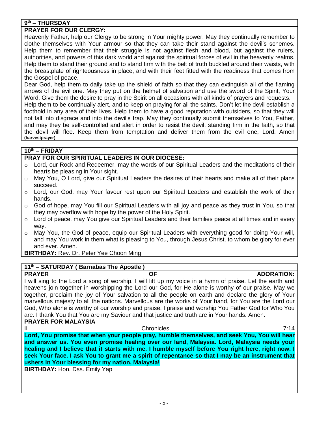#### **9 th – THURSDAY**

#### **PRAYER FOR OUR CLERGY:**

Heavenly Father, help our Clergy to be strong in Your mighty power. May they continually remember to clothe themselves with Your armour so that they can take their stand against the devil's schemes. Help them to remember that their struggle is not against flesh and blood, but against the rulers, authorities, and powers of this dark world and against the spiritual forces of evil in the heavenly realms. Help them to stand their ground and to stand firm with the belt of truth buckled around their waists, with the breastplate of righteousness in place, and with their feet fitted with the readiness that comes from the Gospel of peace.

Dear God, help them to daily take up the shield of faith so that they can extinguish all of the flaming arrows of the evil one. May they put on the helmet of salvation and use the sword of the Spirit, Your Word. Give them the desire to pray in the Spirit on all occasions with all kinds of prayers and requests.

Help them to be continually alert, and to keep on praying for all the saints. Don't let the devil establish a foothold in any area of their lives. Help them to have a good reputation with outsiders, so that they will not fall into disgrace and into the devil's trap. May they continually submit themselves to You, Father, and may they be self-controlled and alert in order to resist the devil, standing firm in the faith, so that the devil will flee. Keep them from temptation and deliver them from the evil one, Lord. Amen **(harvestprayer)**

#### **10th – FRIDAY**

#### **PRAY FOR OUR SPIRITUAL LEADERS IN OUR DIOCESE:**

- $\circ$  Lord, our Rock and Redeemer, may the words of our Spiritual Leaders and the meditations of their hearts be pleasing in Your sight.
- $\circ$  May You, O Lord, give our Spiritual Leaders the desires of their hearts and make all of their plans succeed.
- o Lord, our God, may Your favour rest upon our Spiritual Leaders and establish the work of their hands.
- o God of hope, may You fill our Spiritual Leaders with all joy and peace as they trust in You, so that they may overflow with hope by the power of the Holy Spirit.
- $\circ$  Lord of peace, may You give our Spiritual Leaders and their families peace at all times and in every way.
- o May You, the God of peace, equip our Spiritual Leaders with everything good for doing Your will, and may You work in them what is pleasing to You, through Jesus Christ, to whom be glory for ever and ever. Amen.

**BIRTHDAY:** Rev. Dr. Peter Yee Choon Ming

#### **11th – SATURDAY ( Barnabas The Apostle )**

**PRAYER CONSUMING THE OF ADORATION:**  $\overline{OP}$  and  $\overline{OP}$ I will sing to the Lord a song of worship. I will lift up my voice in a hymn of praise. Let the earth and heavens join together in worshipping the Lord our God, for He alone is worthy of our praise. May we together, proclaim the joy of Your salvation to all the people on earth and declare the glory of Your marvellous majesty to all the nations. Marvellous are the works of Your hand, for You are the Lord our God, Who alone is worthy of our worship and praise. I praise and worship You Father God for Who You are. I thank You that You are my Saviour and that justice and truth are in Your hands. Amen. **PRAYER FOR MALAYSIA**

II Chronicles 7:14 **Lord, You promise that when your people pray, humble themselves, and seek You, You will hear and answer us. You even promise healing over our land, Malaysia. Lord, Malaysia needs your healing and I believe that it starts with me. I humble myself before You right here, right now. I seek Your face. I ask You to grant me a spirit of repentance so that I may be an instrument that ushers in Your blessing for my nation, Malaysia!**

**BIRTHDAY:** Hon. Dss. Emily Yap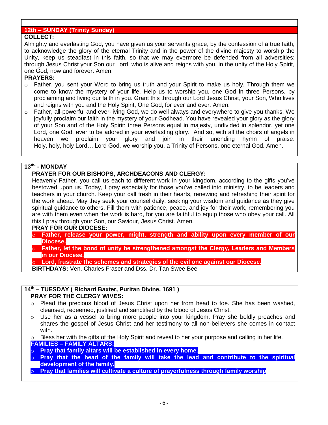#### **12th – SUNDAY (Trinity Sunday)**

#### **COLLECT:**

Almighty and everlasting God, you have given us your servants grace, by the confession of a true faith, to acknowledge the glory of the eternal Trinity and in the power of the divine majesty to worship the Unity, keep us steadfast in this faith, so that we may evermore be defended from all adversities; through Jesus Christ your Son our Lord, who is alive and reigns with you, in the unity of the Holy Spirit, one God, now and forever. Amen.

#### **PRAYERS:**

- $\circ$  Father, you sent your Word to bring us truth and your Spirit to make us holy. Through them we come to know the mystery of your life. Help us to worship you, one God in three Persons, by proclaiming and living our faith in you. Grant this through our Lord Jesus Christ, your Son, Who lives and reigns with you and the Holy Spirit, One God, for ever and ever. Amen.
- $\circ$  Father, all-powerful and ever-living God, we do well always and everywhere to give you thanks. We joyfully proclaim our faith in the mystery of your Godhead. You have revealed your glory as the glory of your Son and of the Holy Spirit: three Persons equal in majesty, undivided in splendor, yet one Lord, one God, ever to be adored in your everlasting glory. And so, with all the choirs of angels in heaven we proclaim your glory and join in their unending hymn of praise: Holy, holy, holy Lord… Lord God, we worship you, a Trinity of Persons, one eternal God. Amen.

#### **13 th- - MONDAY**

#### **PRAYER FOR OUR BISHOPS, ARCHDEACONS AND CLERGY:**

Heavenly Father, you call us each to different work in your kingdom, according to the gifts you've bestowed upon us. Today, I pray especially for those you've called into ministry, to be leaders and teachers in your church. Keep your call fresh in their hearts, renewing and refreshing their spirit for the work ahead. May they seek your counsel daily, seeking your wisdom and guidance as they give spiritual guidance to others. Fill them with patience, peace, and joy for their work, remembering you are with them even when the work is hard, for you are faithful to equip those who obey your call. All this I pray through your Son, our Saviour, Jesus Christ. Amen.

#### **PRAY FOR OUR DIOCESE:**

- o **Father, release your power, might, strength and ability upon every member of our Diocese.**
- o **Father, let the bond of unity be strengthened amongst the Clergy, Leaders and Members in our Diocese.**
- o **Lord, frustrate the schemes and strategies of the evil one against our Diocese.**

**BIRTHDAYS:** Ven. Charles Fraser and Dss. Dr. Tan Swee Bee

#### **14th – TUESDAY ( Richard Baxter, Puritan Divine, 1691 )**

#### **PRAY FOR THE CLERGY WIVES:**

- $\circ$  Plead the precious blood of Jesus Christ upon her from head to toe. She has been washed, cleansed, redeemed, justified and sanctified by the blood of Jesus Christ.
- $\circ$  Use her as a vessel to bring more people into your kingdom. Pray she boldly preaches and shares the gospel of Jesus Christ and her testimony to all non-believers she comes in contact with.

Bless her with the gifts of the Holy Spirit and reveal to her your purpose and calling in her life. **FAMILIES – FAMILY ALTARS:**

- **Pray that family altars will be established in every home.**
- o **Pray that the head of the family will take the lead and contribute to the spiritual development of the family.**
- **Pray that families will cultivate a culture of prayerfulness through family worship**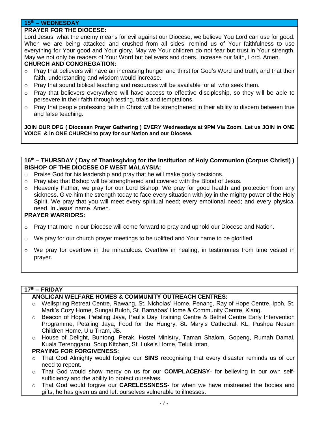#### **15th – WEDNESDAY**

#### **PRAYER FOR THE DIOCESE:**

Lord Jesus, what the enemy means for evil against our Diocese, we believe You Lord can use for good. When we are being attacked and crushed from all sides, remind us of Your faithfulness to use everything for Your good and Your glory. May we Your children do not fear but trust in Your strength. May we not only be readers of Your Word but believers and doers. Increase our faith, Lord. Amen.

#### **CHURCH AND CONGREGATION:**

- o Pray that believers will have an increasing hunger and thirst for God's Word and truth, and that their faith, understanding and wisdom would increase.
- $\circ$  Pray that sound biblical teaching and resources will be available for all who seek them.
- $\circ$  Pray that believers everywhere will have access to effective discipleship, so they will be able to persevere in their faith through testing, trials and temptations.
- $\circ$  Pray that people professing faith in Christ will be strengthened in their ability to discern between true and false teaching.

**JOIN OUR DPG ( Diocesan Prayer Gathering ) EVERY Wednesdays at 9PM Via Zoom. Let us JOIN in ONE VOICE & in ONE CHURCH to pray for our Nation and our Diocese.**

#### **16 th – THURSDAY ( Day of Thanksgiving for the Institution of Holy Communion (Corpus Christi) ) BISHOP OF THE DIOCESE OF WEST MALAYSIA:**

- o Praise God for his leadership and pray that he will make godly decisions.
- $\circ$  Pray also that Bishop will be strengthened and covered with the Blood of Jesus.
- $\circ$  Heavenly Father, we pray for our Lord Bishop. We pray for good health and protection from any sickness. Give him the strength today to face every situation with joy in the mighty power of the Holy Spirit. We pray that you will meet every spiritual need; every emotional need; and every physical need. In Jesus' name. Amen.

#### **PRAYER WARRIORS:**

- $\circ$  Pray that more in our Diocese will come forward to pray and uphold our Diocese and Nation.
- $\circ$  We pray for our church prayer meetings to be uplifted and Your name to be glorified.
- $\circ$  We pray for overflow in the miraculous. Overflow in healing, in testimonies from time vested in prayer.

#### **17 th – FRIDAY**

#### **ANGLICAN WELFARE HOMES & COMMUNITY OUTREACH CENTRES:**

- o Wellspring Retreat Centre, Rawang, St. Nicholas' Home, Penang, Ray of Hope Centre, Ipoh, St. Mark's Cozy Home, Sungai Buloh, St. Barnabas' Home & Community Centre, Klang.
- o Beacon of Hope, Petaling Jaya, Paul's Day Training Centre & Bethel Centre Early Intervention Programme, Petaling Jaya, Food for the Hungry, St. Mary's Cathedral, KL, Pushpa Nesam Children Home, Ulu Tiram, JB.
- o House of Delight, Buntong, Perak, Hostel Ministry, Taman Shalom, Gopeng, Rumah Damai, Kuala Terengganu, Soup Kitchen, St. Luke's Home, Teluk Intan,

#### **PRAYING FOR FORGIVENESS:**

- o That God Almighty would forgive our **SINS** recognising that every disaster reminds us of our need to repent.
- o That God would show mercy on us for our **COMPLACENSY** for believing in our own selfsufficiency and the ability to protect ourselves.
- o That God would forgive our **CARELESSNESS** for when we have mistreated the bodies and gifts, he has given us and left ourselves vulnerable to illnesses.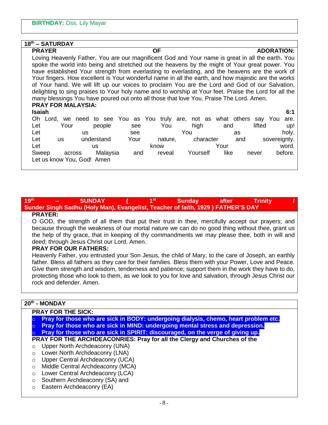| 18th - SATURDAY                                                                                       |                                    |                   |                               |                          |  |  |  |  |  |  |
|-------------------------------------------------------------------------------------------------------|------------------------------------|-------------------|-------------------------------|--------------------------|--|--|--|--|--|--|
| <b>PRAYER</b>                                                                                         |                                    | <b>ADORATION:</b> |                               |                          |  |  |  |  |  |  |
| Loving Heavenly Father, You are our magnificent God and Your name is great in all the earth. You      |                                    |                   |                               |                          |  |  |  |  |  |  |
| spoke the world into being and stretched out the heavens by the might of Your great power. You        |                                    |                   |                               |                          |  |  |  |  |  |  |
| have established Your strength from everlasting to everlasting, and the heavens are the work of       |                                    |                   |                               |                          |  |  |  |  |  |  |
| Your fingers. How excellent is Your wonderful name in all the earth, and how majestic are the works   |                                    |                   |                               |                          |  |  |  |  |  |  |
| of Your hand. We will lift up our voices to proclaim You are the Lord and God of our Salvation,       |                                    |                   |                               |                          |  |  |  |  |  |  |
| delighting to sing praises to Your holy name and to worship at Your feet. Praise the Lord for all the |                                    |                   |                               |                          |  |  |  |  |  |  |
| many blessings You have poured out onto all those that love You. Praise The Lord. Amen.               |                                    |                   |                               |                          |  |  |  |  |  |  |
| <b>PRAY FOR MALAYSIA:</b>                                                                             |                                    |                   |                               |                          |  |  |  |  |  |  |
| Isaiah                                                                                                |                                    |                   |                               | 6:1                      |  |  |  |  |  |  |
|                                                                                                       | Oh Lord, we need to see You as You |                   | truly are, not as what others | say You<br>are.          |  |  |  |  |  |  |
| Let<br>Your                                                                                           | people                             | You<br>see        | high                          | lifted<br>and<br>up!     |  |  |  |  |  |  |
| Let                                                                                                   | <b>us</b>                          | see               | You                           | holy.<br>as              |  |  |  |  |  |  |
| Let<br>us                                                                                             | understand                         | Your<br>nature,   | character                     | sovereignty.<br>and      |  |  |  |  |  |  |
| Let                                                                                                   | <b>US</b>                          | know              | Your                          | word.                    |  |  |  |  |  |  |
| Sweep                                                                                                 | Malaysia<br>across                 | reveal<br>and     | Yourself                      | before.<br>like<br>never |  |  |  |  |  |  |
|                                                                                                       | Let us know You, God! Amen         |                   |                               |                          |  |  |  |  |  |  |
|                                                                                                       |                                    |                   |                               |                          |  |  |  |  |  |  |

#### **19 th – SUNDAY ( 1st Sunday after Trinity / Sunder Singh Sadhu (Holy Man), Evangelist, Teacher of faith, 1929 ) FATHER'S DAY**

#### **PRAYER:**

O GOD, the strength of all them that put their trust in thee, mercifully accept our prayers; and because through the weakness of our mortal nature we can do no good thing without thee, grant us the help of thy grace, that in keeping of thy commandments we may please thee, both in will and deed; through Jesus Christ our Lord. Amen.

#### **PRAY FOR OUR FATHERS:**

Heavenly Father, you entrusted your Son Jesus, the child of Mary, to the care of Joseph, an earthly father. Bless all fathers as they care for their families. Bless them with your Power, Love and Peace. Give them strength and wisdom, tenderness and patience; support them in the work they have to do, protecting those who look to them, as we look to you for love and salvation, through Jesus Christ our rock and defender. Amen.

#### **20th - MONDAY**

#### **PRAY FOR THE SICK:**

- o **Pray for those who are sick in BODY: undergoing dialysis, chemo, heart problem etc.**
- **Pray for those who are sick in MIND: undergoing mental stress and depression.** o **Pray for those who are sick in SPIRIT: discouraged, on the verge of giving up.**
- 

## **PRAY FOR THE ARCHDEACONRIES: Pray for all the Clergy and Churches of the**

- o Upper North Archdeaconry (UNA)
- o Lower North Archdeaconry (LNA)
- o Upper Central Archdeaconry (UCA)
- o Middle Central Archdeaconry (MCA)
- o Lower Central Archdeaconry (LCA)
- o Southern Archdeaconry (SA) and
- o Eastern Archdeaconry (EA)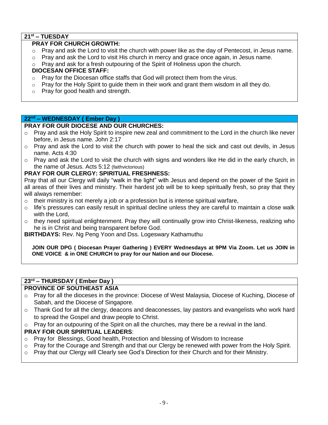### **21st – TUESDAY**

#### **PRAY FOR CHURCH GROWTH:**

- o Pray and ask the Lord to visit the church with power like as the day of Pentecost, in Jesus name.
- $\circ$  Pray and ask the Lord to visit His church in mercy and grace once again, in Jesus name.
- $\circ$  Pray and ask for a fresh outpouring of the Spirit of Holiness upon the church.

#### **DIOCESAN OFFICE STAFF:**

- $\circ$  Pray for the Diocesan office staffs that God will protect them from the virus.
- $\circ$  Pray for the Holy Spirit to guide them in their work and grant them wisdom in all they do.
- o Pray for good health and strength.

#### **22nd – WEDNESDAY ( Ember Day )**

#### **PRAY FOR OUR DIOCESE AND OUR CHURCHES:**

- o Pray and ask the Holy Spirit to inspire new zeal and commitment to the Lord in the church like never before, in Jesus name. John 2:17
- $\circ$  Pray and ask the Lord to visit the church with power to heal the sick and cast out devils, in Jesus name. Acts 4:30
- $\circ$  Pray and ask the Lord to visit the church with signs and wonders like He did in the early church, in the name of Jesus. Acts 5:12 (faithvictorious)

#### **PRAY FOR OUR CLERGY: SPIRITUAL FRESHNESS:**

Pray that all our Clergy will daily "walk in the light" with Jesus and depend on the power of the Spirit in all areas of their lives and ministry. Their hardest job will be to keep spiritually fresh, so pray that they will always remember:

- $\circ$  their ministry is not merely a job or a profession but is intense spiritual warfare,
- $\circ$  life's pressures can easily result in spiritual decline unless they are careful to maintain a close walk with the Lord,
- $\circ$  they need spiritual enlightenment. Pray they will continually grow into Christ-likeness, realizing who he is in Christ and being transparent before God.

**BIRTHDAYS:** Rev. Ng Peng Yoon and Dss. Logeswary Kathamuthu

**JOIN OUR DPG ( Diocesan Prayer Gathering ) EVERY Wednesdays at 9PM Via Zoom. Let us JOIN in ONE VOICE & in ONE CHURCH to pray for our Nation and our Diocese.**

## **23rd – THURSDAY ( Ember Day )**

#### **PROVINCE OF SOUTHEAST ASIA**

- o Pray for all the dioceses in the province: Diocese of West Malaysia, Diocese of Kuching, Diocese of Sabah, and the Diocese of Singapore.
- $\circ$  Thank God for all the clergy, deacons and deaconesses, lay pastors and evangelists who work hard to spread the Gospel and draw people to Christ.
- $\circ$  Pray for an outpouring of the Spirit on all the churches, may there be a revival in the land.

#### **PRAY FOR OUR SPIRITUAL LEADERS**:

- o Pray for Blessings, Good health, Protection and blessing of Wisdom to Increase
- o Pray for the Courage and Strength and that our Clergy be renewed with power from the Holy Spirit.
- $\circ$  Pray that our Clergy will Clearly see God's Direction for their Church and for their Ministry.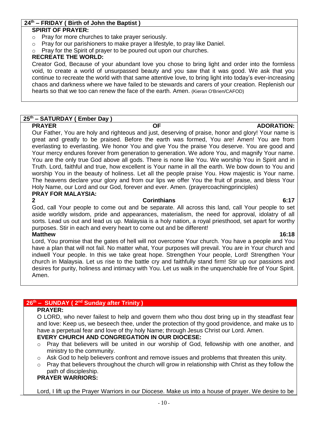#### **24th – FRIDAY ( Birth of John the Baptist )**

#### **SPIRIT OF PRAYER:**

- o Pray for more churches to take prayer seriously.
- $\circ$  Pray for our parishioners to make prayer a lifestyle, to pray like Daniel.
- o Pray for the Spirit of prayer to be poured out upon our churches.

#### **RECREATE THE WORLD:**

Creator God, Because of your abundant love you chose to bring light and order into the formless void, to create a world of unsurpassed beauty and you saw that it was good. We ask that you continue to recreate the world with that same attentive love, to bring light into today's ever-increasing chaos and darkness where we have failed to be stewards and carers of your creation. Replenish our hearts so that we too can renew the face of the earth. Amen. (Kieran O'Brien/CAFOD)

#### **25th – SATURDAY ( Ember Day )**

Our Father, You are holy and righteous and just, deserving of praise, honor and glory! Your name is great and greatly to be praised. Before the earth was formed, You are! Amen! You are from everlasting to everlasting. We honor You and give You the praise You deserve. You are good and Your mercy endures forever from generation to generation. We adore You, and magnify Your name. You are the only true God above all gods. There is none like You. We worship You in Spirit and in Truth. Lord, faithful and true, how excellent is Your name in all the earth. We bow down to You and worship You in the beauty of holiness. Let all the people praise You. How majestic is Your name. The heavens declare your glory and from our lips we offer You the fruit of praise, and bless Your Holy Name, our Lord and our God, forever and ever. Amen. (prayercoachingprinciples) **PRAY FOR MALAYSIA:**

#### **2 Corinthians 6:17**

God, call Your people to come out and be separate. All across this land, call Your people to set aside worldly wisdom, pride and appearances, materialism, the need for approval, idolatry of all sorts. Lead us out and lead us up. Malaysia is a holy nation, a royal priesthood, set apart for worthy purposes. Stir in each and every heart to come out and be different!

#### **Matthew 16:18**

Lord, You promise that the gates of hell will not overcome Your church. You have a people and You have a plan that will not fail. No matter what, Your purposes will prevail. You are in Your church and indwell Your people. In this we take great hope. Strengthen Your people, Lord! Strengthen Your church in Malaysia. Let us rise to the battle cry and faithfully stand firm! Stir up our passions and desires for purity, holiness and intimacy with You. Let us walk in the unquenchable fire of Your Spirit. Amen.

#### **26th – SUNDAY ( 2nd Sunday after Trinity )**

#### **PRAYER:**

O LORD, who never failest to help and govern them who thou dost bring up in thy steadfast fear and love: Keep us, we beseech thee, under the protection of thy good providence, and make us to have a perpetual fear and love of thy holy Name; through Jesus Christ our Lord. Amen.

#### **EVERY CHURCH AND CONGREGATION IN OUR DIOCESE:**

- o Pray that believers will be united in our worship of God, fellowship with one another, and ministry to the community.
- $\circ$  Ask God to help believers confront and remove issues and problems that threaten this unity.
- $\circ$  Pray that believers throughout the church will grow in relationship with Christ as they follow the path of discipleship.

#### **PRAYER WARRIORS:**

Lord, I lift up the Prayer Warriors in our Diocese. Make us into a house of prayer. We desire to be

**PRAYER CONSUMING THE OF ADORATION:**  $\overline{OP}$  **ADORATION:**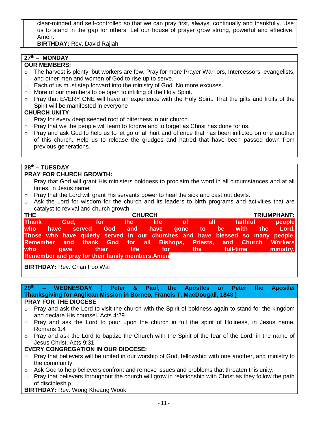clear-minded and self-controlled so that we can pray first, always, continually and thankfully. Use us to stand in the gap for others. Let our house of prayer grow strong, powerful and effective. Amen.

**BIRTHDAY:** Rev. David Rajiah

## **27th – MONDAY**

## **OUR MEMBERS:**

- $\circ$  The harvest is plenty, but workers are few. Pray for more Prayer Warriors, Intercessors, evangelists, and other men and women of God to rise up to serve.
- o Each of us must step forward into the ministry of God. No more excuses.
- o More of our members to be open to infilling of the Holy Spirit.
- o Pray that EVERY ONE will have an experience with the Holy Spirit. That the gifts and fruits of the Spirit will be manifested in everyone

#### **CHURCH UNITY:**

- o Pray for every deep seeded root of bitterness in our church.
- $\circ$  Pray that we the people will learn to forgive and to forget as Christ has done for us.
- o Pray and ask God to help us to let go of all hurt and offence that has been inflicted on one another of this church. Help us to release the grudges and hatred that have been passed down from previous generations.

#### **28th – TUESDAY**

#### **PRAY FOR CHURCH GROWTH:**

- o Pray that God will grant His ministers boldness to proclaim the word in all circumstances and at all times, in Jesus name.
- o Pray that the Lord will grant His servants power to heal the sick and cast out devils.
- o Ask the Lord for wisdom for the church and its leaders to birth programs and activities that are catalyst to revival and church growth.

| <b>THE</b>                                              | <b>CHURCH</b> |  |                            |  |  |  |  |  |  |                       | <b>TRIUMPHANT:</b> |                                                                                |
|---------------------------------------------------------|---------------|--|----------------------------|--|--|--|--|--|--|-----------------------|--------------------|--------------------------------------------------------------------------------|
|                                                         |               |  | Thank God, for the life of |  |  |  |  |  |  | all faithful <b>a</b> |                    | people                                                                         |
|                                                         |               |  |                            |  |  |  |  |  |  |                       |                    | who have served God and have gone to be with the Lord.                         |
|                                                         |               |  |                            |  |  |  |  |  |  |                       |                    | Those who have quietly served in our churches and have blessed so many people. |
|                                                         |               |  |                            |  |  |  |  |  |  |                       |                    | Remember and thank God for all Bishops, Priests, and Church Workers            |
|                                                         |               |  | who gave their life for    |  |  |  |  |  |  |                       |                    | the full-time ministry.                                                        |
| <b>Remember and pray for their family members. Amen</b> |               |  |                            |  |  |  |  |  |  |                       |                    |                                                                                |

**BIRTHDAY:** Rev. Chan Foo Wai

**29 th – WEDNESDAY ( Peter & Paul, the Apostles or Peter the Apostle/ Thanksgiving for Anglican Mission in Borneo, Francis T. MacDougall, 1848 )**

#### **PRAY FOR THE DIOCESE**

- $\circ$  Pray and ask the Lord to visit the church with the Spirit of boldness again to stand for the kingdom and declare His counsel. Acts 4:29
- o Pray and ask the Lord to pour upon the church in full the spirit of Holiness, in Jesus name. Romans 1:4
- $\circ$  Pray and ask the Lord to baptize the Church with the Spirit of the fear of the Lord, in the name of Jesus Christ. Acts 9:31.

#### **EVERY CONGREGATION IN OUR DIOCESE:**

- $\circ$  Pray that believers will be united in our worship of God, fellowship with one another, and ministry to the community.
- $\circ$  Ask God to help believers confront and remove issues and problems that threaten this unity.
- o Pray that believers throughout the church will grow in relationship with Christ as they follow the path of discipleship.

#### **BIRTHDAY:** Rev. Wong Kheang Wook